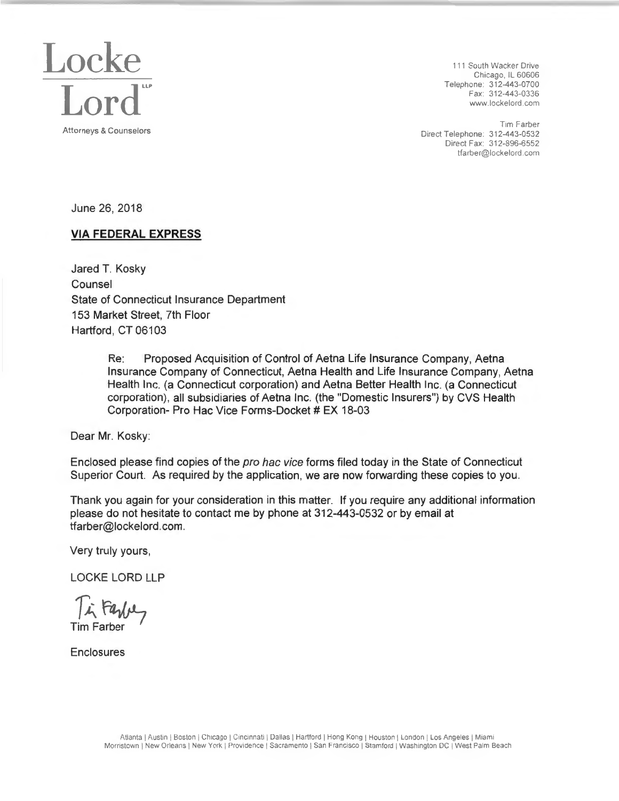

Chicago. IL 60606 www.lockelord .com

Tim Farber Attorneys & Counselors **Attorneys & Counselors Direct Telephone: 312-443-0532** Direct Fax: 312-896-6552 tfarber@lockelord com

June 26, 2018

### **VIA FEDERAL EXPRESS**

Jared T. Kosky Counsel State of Connecticut Insurance Department 153 Market Street, 7th Floor Hartford, CT 06103

> Re: Proposed Acquisition of Control of Aetna Life Insurance Company, Aetna Insurance Company of Connecticut, Aetna Health and Life Insurance Company, Aetna Health Inc. (a Connecticut corporation) and Aetna Better Health Inc. (a Connecticut corporation), all subsidiaries of Aetna Inc. (the "Domestic Insurers") by CVS Health Corporation- Pro Hac Vice Forms-Docket # EX 18-03

Dear Mr. Kosky:

Enclosed please find copies of the pro hac vice forms filed today in the State of Connecticut Superior Court. As required by the application, we are now forwarding these copies to you.

Thank you again for your consideration in this matter. If you require any additional information please do not hesitate to contact me by phone at 312-443-0532 or by email at tfarber@lockelord.com.

Very truly yours,

LOCKE LORD LLP

In Farbey Tim Farber

Enclosures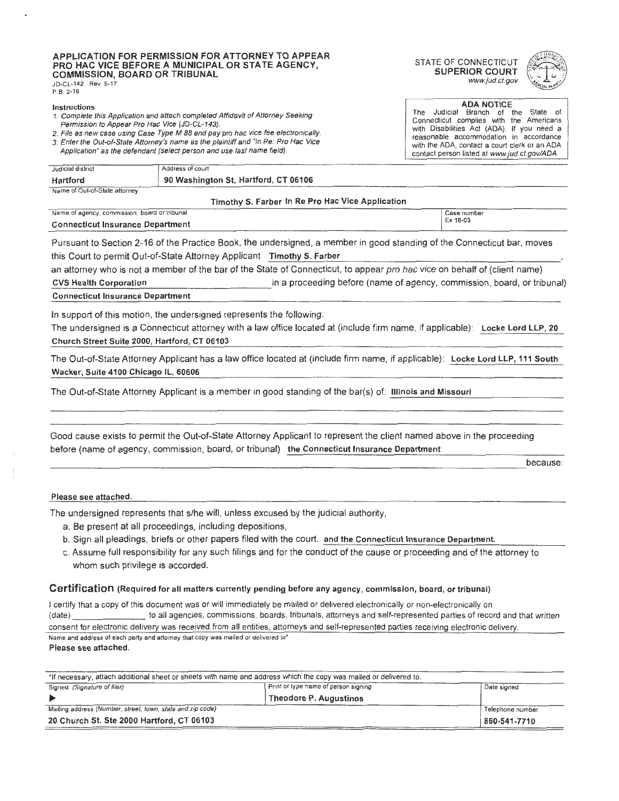#### **APPLICATION FOR PERMISSION FOR ATTORNEY TO APPEAR**  STATE OF CONNECTICUT **PERMISSION FOR ATTORNET TO AFFEAR**<br>PRO HAC VICE BEFORE A MUNICIPAL OR STATE AGENCY, **A CONSTANT SUPERIOR COURT COMMISSION, BOARD OR TRIBUNAL SUPERIOR COURT**<br>
SUPERIOR COURT *www.jud.ct.gov* JD-CL-142 Rev. 5-17

P.B. 2-16

- **Instructions**<br> **Instructions ADA NOTICE**<br> **I. Complete this Application and attach completed Affidavit of Attorney Seeking<br>
<b>ACCELLATER ACCELLATER ACCELLATEST** WE argue that the
- 
- 3. Enter the Out-of-State Attorney's name as the plaintiff and "In Re: Pro Hac Vice with the ADA, contact a court clerk or an ADA, contact a court clerk or an ADA and a court clerk or an ADA, contact a court clerk or an AD
- Application" as the defendant (select person and use last name field).

### Judicial district Address of court **Hartford 90 Washington St, Hartford, CT 06106**  Name of Out-of-State attorney **Timothy 5. Farber** In **Re Pro Hae Vice Application**  Name of agency, commission, board or tribunal case in the case is a case of the case number of  $\geq$  Case number **Connecticut Insurance Department**

Pursuant to Section 2-16 of the Practice Book, the undersigned, a member in good standing of the Connecticut bar, moves this Court to permit Out-of-State Attorney Applicant **Timothy S. Farber** 

an attorney who is not **a** member of the bar of the State of Connecticut, to appear pro hac vice on behalf of (client name) **CVS Health Corporation**<br> **Connecticut Insurance Department**<br> **Connecticut Insurance Department** 

In support of this motion, the undersigned represents the following:

The undersigned is a Connecticut attorney with a law office located at (include firm name, if applicable): Locke Lord LLP, 20 Church Street Suite 2000, Hartford, CT 06103

The Out-of-State Attorney Applicant has a law office located at (include firm name, if applicable): Locke Lord LLP, 111 South Wacker, Suite 4100 Chicago IL, 60606

The Out-of-State Attorney Applicant is a member in good standing of the bar(s) of: **Illinois and Missouri** 

--------------------------------------- -------- before (name of agency, commission, board, or tribunal) the Connecticut Insurance Department Good cause exists to permit the Out-of-State Attorney Applicant to represent the client named above in the proceeding

because:

### Please see attached.

The undersigned represents that s/he will, unless excused by the judicial authority,

- a. Be present at all proceedings, including depositions,
- b. Sign all pleadings, briefs or other papers filed with the court. and the Connecticut Insurance Department.
- c. Assume full responsibility for any such filings and for the conduct of the cause or proceeding and of the attorney to whom such privilege is accorded.

### **Certification** (Required for all matters currently pending before any agency, commission, board, or tribunal)

I certify that a copy of this document was or will immediately be mailed or delivered electronically or non-electronically on (date) to all agencies, commissions, boards, tribunals , attorneys and self-represented parties of record and that written consent for electronic delivery was received from all entities, attorneys and self-represented parties receiving electronic delivery. Name and address of each party and attorney that copy was mailed or delivered to'

### **Please see attached.**

| *If necessary, attach additional sheet or sheets with name and address which the copy was mailed or delivered to. |                                      |                  |
|-------------------------------------------------------------------------------------------------------------------|--------------------------------------|------------------|
| Signed (Signature of filer)                                                                                       | Print or type name of person signing | Date signed      |
|                                                                                                                   | Theodore P. Augustinos               |                  |
| Mailing address (Number, street, town, state and zip code)                                                        |                                      | Telephone number |
| 20 Church St. Ste 2000 Hartford, CT 06103                                                                         |                                      | 860-541-7710     |





Complete this Application and attach completed Affidavit of Attorney Seeking<br>
2. File as new case using Case Type M 88 and pay pro hac vice fee electronically.<br>
2. File as new case using Case Type M 88 and pay pro hac vice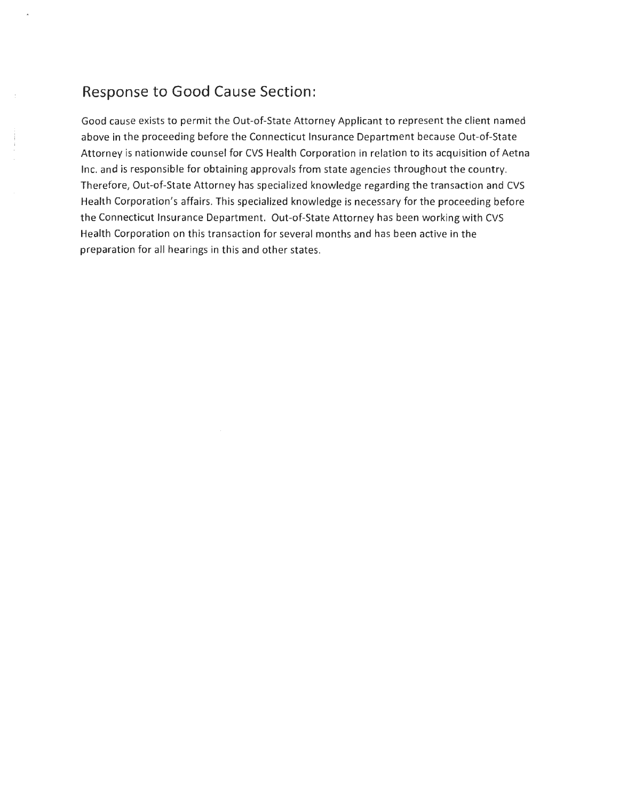### **Response to Good Cause Section:**

Good cause exists to permit the Out-of-State Attorney Applicant to represent the client named above in the proceeding before the Connecticut Insurance Department because Out-of-State Attorney is nationwide counsel for CVS Health Corporation in relation to its acquisition of Aetna Inc. and is responsible for obtaining approvals from state agencies throughout the country. Therefore, Out-of-State Attorney has specialized knowledge regarding the transaction and CVS Health Corporation's affairs. This specialized knowledge is necessary for the proceeding before the Connecticut Insurance Department. Out-of-State Attorney has been working with CVS Health Corporation on this transaction for several months and has been active in the preparation for all hearings in this and other states.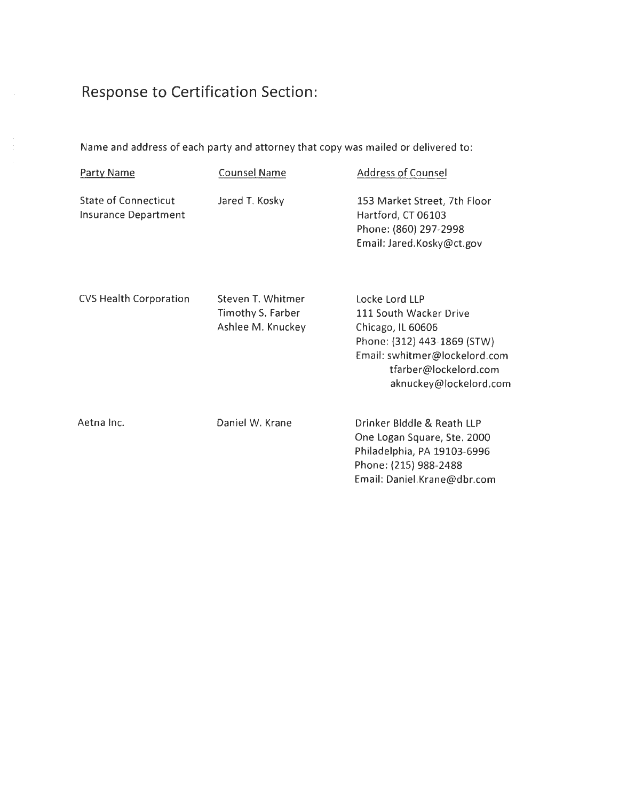## **Response to Certification Section:**

 $\bar{\beta}$ 

Name and address of each party and attorney that copy was mailed or delivered to:

| Party Name                                                 | <b>Counsel Name</b>                                         | <b>Address of Counsel</b>                                                                                                                                                        |
|------------------------------------------------------------|-------------------------------------------------------------|----------------------------------------------------------------------------------------------------------------------------------------------------------------------------------|
| <b>State of Connecticut</b><br><b>Insurance Department</b> | Jared T. Kosky                                              | 153 Market Street, 7th Floor<br>Hartford, CT 06103<br>Phone: (860) 297-2998<br>Email: Jared.Kosky@ct.gov                                                                         |
| <b>CVS Health Corporation</b>                              | Steven T. Whitmer<br>Timothy S. Farber<br>Ashlee M. Knuckey | Locke Lord LLP<br>111 South Wacker Drive<br>Chicago, IL 60606<br>Phone: (312) 443-1869 (STW)<br>Email: swhitmer@lockelord.com<br>tfarber@lockelord.com<br>aknuckey@lockelord.com |
| Aetna Inc.                                                 | Daniel W. Krane                                             | Drinker Biddle & Reath LLP<br>One Logan Square, Ste. 2000<br>Philadelphia, PA 19103-6996<br>Phone: (215) 988-2488<br>Email: Daniel.Krane@dbr.com                                 |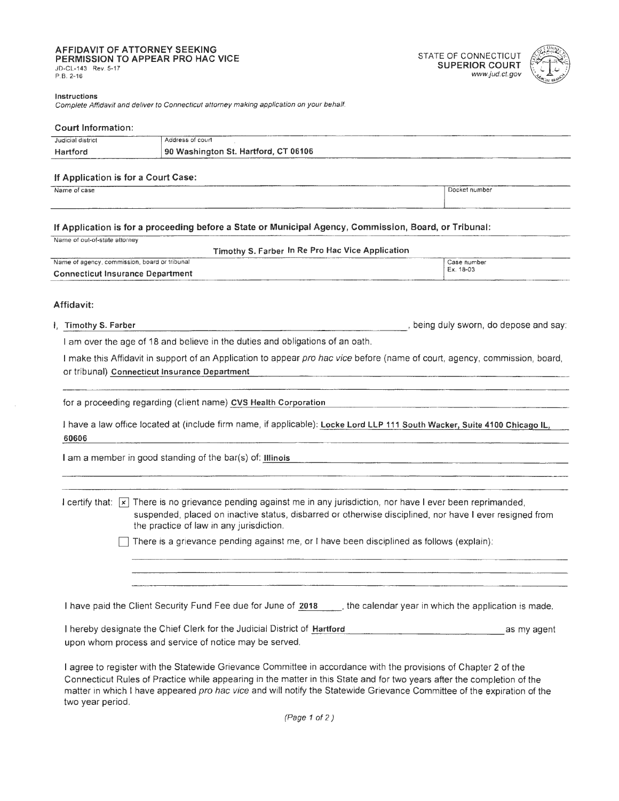# **AFFIDAVIT OF ATTORNEY SEEKING <br>
PERMISSION TO APPEAR PRO HAC VICE SUPERIOR COURT SUPERIOR COURT SUPERIOR COURT <br>
P.B. 2-16 www.jud.ct.gov**

# P.B. 2-16 www.jud.ct.gov



### **Instructions**

Complete Affidavit and deliver to Connecticut attorney making application on your behalf.

### **Court Information:**

| Judicial district | Address of court                                                                   |
|-------------------|------------------------------------------------------------------------------------|
| Hartford          | 190 Washington St. Hartford, CT 06106<br>$\sim$ $\sim$ $\sim$ $\sim$ $\sim$ $\sim$ |

### **If Application is for a Court Case:**

name of case **IDocket number** IDocket number

### **If Application is for a proceeding before a State or Municipal Agency, Commission, Board, or Tribunal:**

|  | Name of out-of-state attorney |  |
|--|-------------------------------|--|

**Timothy S. Farber In Re Pro Hae Vice Application** 

| Name of agency, commission, board or tribunal | Case number |
|-----------------------------------------------|-------------|
| <b>Connecticut Insurance Department</b>       | Ex. 18-03   |

### **Affidavit:**

I, **Timothy S. Farber** , being duly sworn, do depose and say:

I am over the age of 18 and believe in the duties and obligations of an oath.

I make this Affidavit in support of an Application to appear pro hac vice before (name of court, agency, commission, board, or tribunal) **Connecticut Insurance Department** 

for a proceeding regarding (client name) CVS Health Corporation

**60606**  I have a law office located at (include firm name, if applicable): Locke Lord LLP 111 South Wacker, Suite 4100 Chicago IL,

I am a member in good standing of the bar(s) of: **Illinois** 

I certify that:  $\overline{X}$  There is no grievance pending against me in any jurisdiction, nor have I ever been reprimanded, suspended, placed on inactive status, disbarred or otherwise disciplined, nor have I ever resigned from the practice of law in any jurisdiction.

There is a grievance pending against me, or I have been disciplined as follows (explain):

I have paid the Client Security Fund Fee due for June of 2018 the calendar year in which the application is made.

I hereby designate the Chief Clerk for the Judicial District of Hartford **and a set of the set of the set of the** upon whom process and service of notice may be served.

I agree to register with the Statewide Grievance Committee in accordance with the provisions of Chapter 2 of the Connecticut Rules of Practice while appearing in the matter in this State and for two years after the completion of the matter in which I have appeared pro hac vice and will notify the Statewide Grievance Committee of the expiration of the two year period.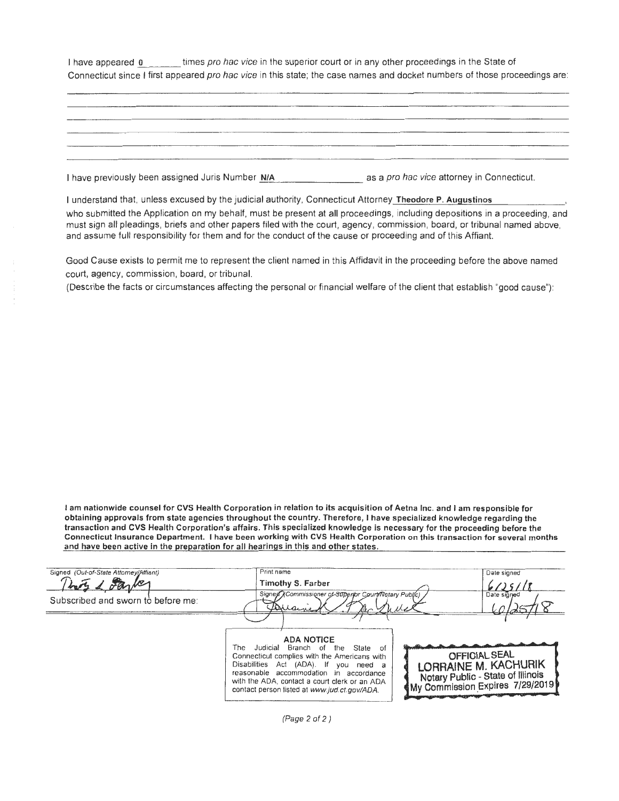I have appeared 0 times pro hac vice in the superior court or in any other proceedings in the State of Connecticut since I first appeared pro hac vice in this state; the case names and docket numbers of those proceedings are:

| details and the first property in the con- |                                          |
|--------------------------------------------|------------------------------------------|
|                                            |                                          |
|                                            |                                          |
|                                            |                                          |
|                                            |                                          |
|                                            |                                          |
|                                            |                                          |
|                                            |                                          |
|                                            | <b>But we're to you to you can be an</b> |
|                                            |                                          |
|                                            |                                          |
|                                            |                                          |
|                                            |                                          |
|                                            |                                          |
|                                            |                                          |
|                                            |                                          |
|                                            |                                          |
|                                            |                                          |

I have previously been assigned Juris Number N/A and a same as a pro hac vice attorney in Connecticut.

I understand that, unless excused by the judicial authority, Connecticut Attorney **Theodore P. Augustinos** 

who submitted the Application on my behalf, must be present at all proceedings, including depositions in a proceeding, and must sign all pleadings , briefs and other papers filed with the court, agency, commission, board, or tribunal named above, and assume full responsibility for them and for the conduct of the cause or proceeding and of this Affiant.

Good Cause exists to permit me to represent the client named in this Affidavit in the proceeding before the above named court, agency, commission, board, or tribunal.

(Describe the facts or circumstances affecting the personal or financial welfare of the client that establish "good cause"):

I **am nationwide counsel for CVS Health Corporation** in **relation to its acquisition of Aetna Inc. and** I **am responsible for obtaining approvals from state agencies throughout the country. Therefore,** I **have specialized knowledge regarding the transaction and CVS Health Corporation's affairs. This specialized knowledge is necessary for the proceeding before the Connecticut Insurance Department.** I **have been working with CVS Health Corporation on this transaction for several months and have been active** in **the preparation for all hearings in this and other states.** 

| Signed (Out-of-State Attorney/Affiant) | Print name                                                                                                                                                                                                                                                                                                 | Date signed                                                                                                                                       |
|----------------------------------------|------------------------------------------------------------------------------------------------------------------------------------------------------------------------------------------------------------------------------------------------------------------------------------------------------------|---------------------------------------------------------------------------------------------------------------------------------------------------|
|                                        | Timothy S. Farber                                                                                                                                                                                                                                                                                          |                                                                                                                                                   |
| Subscribed and sworn to before me:     | Signed XCommissioner of Supenbr Court/Notary Public)<br>forrainen                                                                                                                                                                                                                                          | Date signed                                                                                                                                       |
|                                        | <b>ADA NOTICE</b><br>Judicial Branch of<br>State<br>The<br>the<br>- ot<br>Connecticut complies with the Americans with<br>Disabilities Act (ADA). If you need a<br>reasonable accommodation in accordance<br>with the ADA, contact a court clerk or an ADA<br>contact person listed at www.jud.ct.gov/ADA. | <b>OFFICIAL SEAL</b><br>LORRAINE M. KACHURIK<br>Notary Public - State of Illinois<br><my 2019<="" 29="" 7="" commission="" expires="" td=""></my> |

(Page 2 of 2)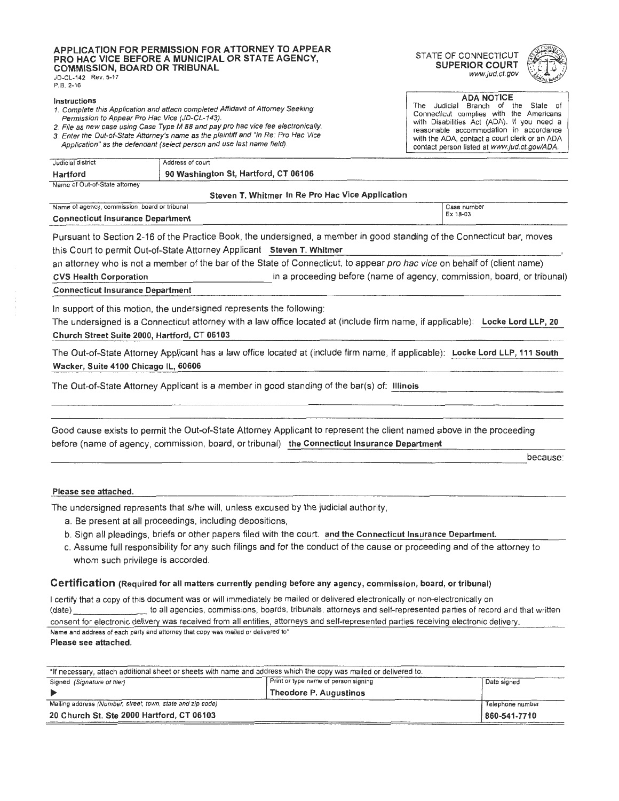### **APPLICATION FOR PERMISSION FOR A HORNEY TO APPEAR** STATE OF CONNECTICUT **PRO HAC VICE BEFORE A MUNICIPAL OR STATE AGENCY, COMMISSION, BOARD OR TRIBUNAL SUPERIOR COURT**<br>JD-CL-142 Rev. 5-17 *www.jud.ct.gov*

P.B. 2-16

- 
- 
- 3. Enter the Out-of-State Attorney's name as the plaintiff and "In Re: Pro Hac Vice Application" as the defendant (select person and use last name field) . The contact person listed at www.jud.ct.gov/ADA.





**ADANOTICE**<br>
1. Complete this Application and attach completed Affidavit of Attorney Seeking<br>
2. File as new case using Case Type M 88 and pay pro hac vice fee electronically.<br>
2. File as new case using Case Type M 88 and

| Judicial district             | Address of court                       |
|-------------------------------|----------------------------------------|
| Hartford                      | 90 Washington St, Hartford, CT 06106 ' |
| Name of Out-of-State attorney |                                        |

#### **Steven T. Whitmer In Re Pro Hae Vice Application**

| Name of agency, commission, board or tribunal | Case number |
|-----------------------------------------------|-------------|
| <b>Connecticut Insurance Department</b>       | Ex 18-03    |

Pursuant to Section 2-16 of the Practice Book, the undersigned, a member in good standing of the Connecticut bar, moves this Court to permit Out-of-State Attorney Applicant **Steven T. Whitmer** 

an attorney who is not a member of the bar of the State of Connecticut, to appear pro hac vice on behalf of (client name)

**cvs Health Corporation** *in a proceeding before (name of agency, commission, board, or tribunal)*<br>Connecticut Insurance Department

In support of this motion, the undersigned represents the following:

The undersigned is a Connecticut attorney with a law office located at (include firm name, if applicable): Locke Lord LLP, 20 **Church Street Suite 2000, Hartford, CT 06103** 

The Out-of-State Attorney Applicant has a law office located at (include firm name, if applicable): **Locke** Lord **LLP, 111 South Wacker, Suite 4100 Chicago IL, 60606** 

----------------- The Out-of-State Attorney Applicant is a member in good standing of the bar(s) of: **Illinois** 

----------------------- ------------------------ before (name of agency, commission, board, or tribunal) **the Connecticut Insurance Department**  Good cause exists to permit the Out-of-State Attorney Applicant to represent the client named above in the proceeding

because:

### **Please see attached.**

The undersigned represents that s/he will, unless excused by the judicial authority,

- a. Be present at all proceedings , including depositions,
- b. Sign all pleadings, briefs or other papers filed with the court. and the Connecticut Insurance Department.
- c. Assume full responsibility for any such filings and for the conduct of the cause or proceeding and of the attorney to whom such privilege is accorded.

### **Certification** (Required for all matters currently pending before any agency, commission, board, or tribunal)

I certify that a copy of this document was or will immediately be mailed or delivered electronically or non-electronically on (date) to all agencies, commissions, boards , tribunals, attorneys and self-represented parties of record and that written consent for electronic delivery was received from all entities, attorneys and self-represented parties receiving electronic delivery. Name and address of each party and attorney that copy was mailed or delivered to'

**Please see attached.** 

| *If necessary, attach additional sheet or sheets with name and address which the copy was mailed or delivered to. |                                      |                  |
|-------------------------------------------------------------------------------------------------------------------|--------------------------------------|------------------|
| Signed (Signature of filer)                                                                                       | Print or type name of person signing | Date signed      |
|                                                                                                                   | Theodore P. Augustinos               |                  |
| Mailing address (Number, street, town, state and zip code)                                                        |                                      | Telephone number |
| 20 Church St. Ste 2000 Hartford, CT 06103                                                                         |                                      | 860-541-7710     |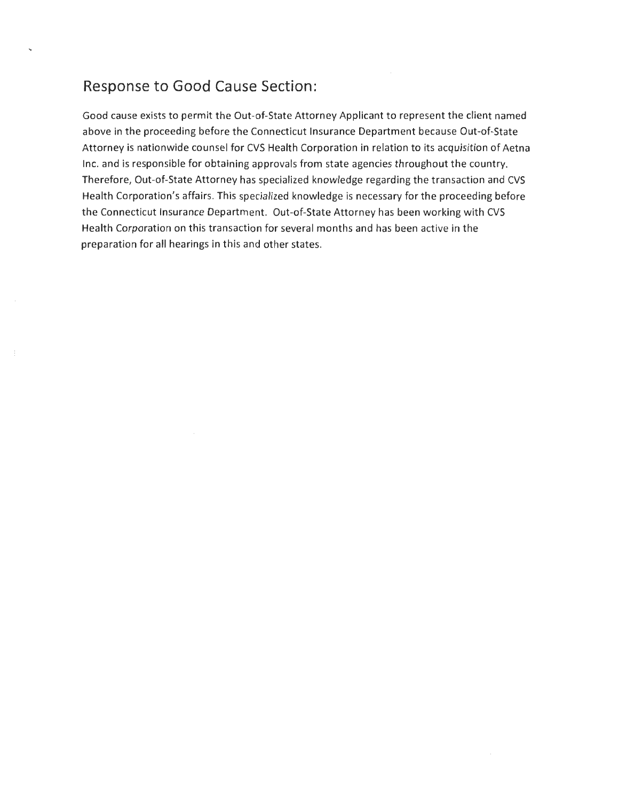### **Response to Good Cause Section:**

Good cause exists to permit the Out-of-State Attorney Applicant to represent the client named above in the proceeding before the Connecticut Insurance Department because Out-of-State Attorney is nationwide counsel for CVS Health Corporation in relation to its acquisition of Aetna Inc. and is responsible for obtaining approvals from state agencies throughout the country. Therefore, Out-of-State Attorney has specialized knowledge regarding the transaction and CVS Health Corporation's affairs. This specialized knowledge is necessary for the proceeding before the Connecticut Insurance Department. Out-of-State Attorney has been working with CVS Health Corporation on this transaction for several months and has been active in the preparation for all hearings in this and other states.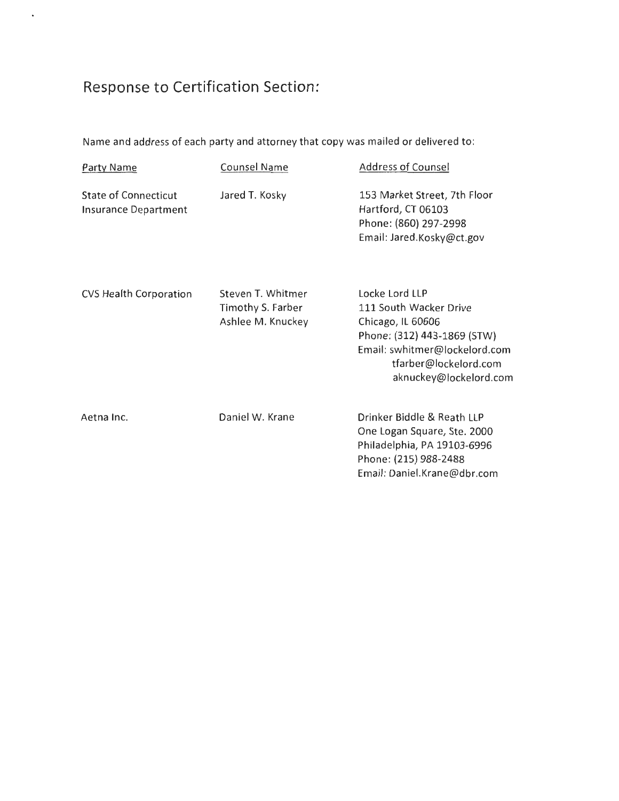## **Response to Certification Section:**

 $\ddot{\phantom{0}}$ 

Name and address of each party and attorney that copy was mailed or delivered to:

| Party Name                                                 | Counsel Name                                                | Address of Counsel                                                                                                                                                               |
|------------------------------------------------------------|-------------------------------------------------------------|----------------------------------------------------------------------------------------------------------------------------------------------------------------------------------|
| <b>State of Connecticut</b><br><b>Insurance Department</b> | Jared T. Kosky                                              | 153 Market Street, 7th Floor<br>Hartford, CT 06103<br>Phone: (860) 297-2998<br>Email: Jared.Kosky@ct.gov                                                                         |
| <b>CVS Health Corporation</b>                              | Steven T. Whitmer<br>Timothy S. Farber<br>Ashlee M. Knuckey | Locke Lord LLP<br>111 South Wacker Drive<br>Chicago, IL 60606<br>Phone: (312) 443-1869 (STW)<br>Email: swhitmer@lockelord.com<br>tfarber@lockelord.com<br>aknuckey@lockelord.com |
| Aetna Inc.                                                 | Daniel W. Krane                                             | Drinker Biddle & Reath LLP<br>One Logan Square, Ste. 2000<br>Philadelphia, PA 19103-6996<br>Phone: (215) 988-2488<br>Email: Daniel.Krane@dbr.com                                 |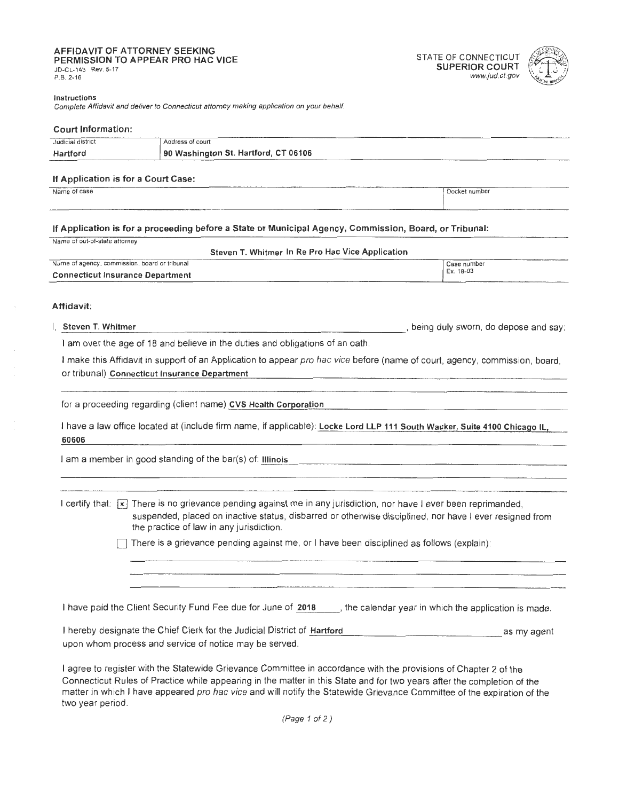### **AFFIDAVIT OF ATTORNEY SEEKING PERMISSION TO APPEAR PRO HAC VICE CONNECTICUT**<br>PERMISSION TO APPEAR PRO HAC VICE **TO A SUPER SUPERIOR COURT** TERMINOLOGY TO AT YEAR FROM THE VIOLE<br>JD-CL-143 Rev. 5-17 *Www.jud.ct.gov*<br>P.B. 2-16 *www.jud.ct.gov*

# P.B. 2-16 www.jud.ct.gov



### **lnstrur;tions**

Complete Affidavit and deliver to Connecticut attorney making application on your behalf.

### **Court Information:**

| Judicial district | of court<br>Address                  |
|-------------------|--------------------------------------|
| Hartford          | 90 Washington St. Hartford, CT 06106 |

### **If Application is for a Court Case:**  n Application is for a Court Case.<br>Name of case <u>I</u>Docket number

### **If Application is for a proceeding before a State or Municipal Agency, Commission, Board, or Tribunal:**

Name of out-of-state attorney

### **Steven** T. **Whitmer In Re Pro Hae Vice Application**

| Name of agency, commission, board or tribunal | Case number |
|-----------------------------------------------|-------------|
| <b>Connecticut Insurance Department</b>       | Ex. 18-03   |

### **Affidavit:**

I, **Steven T. Whitmer** , being duly sworn, do depose and say:

I am over the age of 18 and believe in the duties and obligations of an oath.

I make this Affidavit in support of an Application to appear pro hac vice before (name of court, agency, commission, board, or tribunal) **Connecticut Insurance Department** 

for a proceeding regarding (client name) CVS Health Corporation

**60606**  1have a law office located at (include firm name, if applicable): **Locke Lord LLP 111 South Wacker, Suite 4100 Chicago IL,** 

I am a member in good standing of the bar(s) of: Illinois

I certify that:  $\overline{[x]}$  There is no grievance pending against me in any jurisdiction, nor have I ever been reprimanded, suspended, placed on inactive status, disbarred or otherwise disciplined, nor have I ever resigned from the practice of law in any jurisdiction.

There is a grievance pending against me, or I have been disciplined as follows (explain):

I have paid the Client Security Fund Fee due for June of 2018 . Free calendar year in which the application is made.

I hereby designate the Chief Clerk for the Judicial District of Hartford Theoretic compares as my agent upon whom process and service of notice may be served.

I agree to register with the Statewide Grievance Committee in accordance with the provisions of Chapter 2 of the Connecticut Rules of Practice while appearing in the matter in this State and for two years after the completion of the matter in which I have appeared pro hac vice and will notify the Statewide Grievance Committee of the expiration of the two year period.

(Page 1 of 2)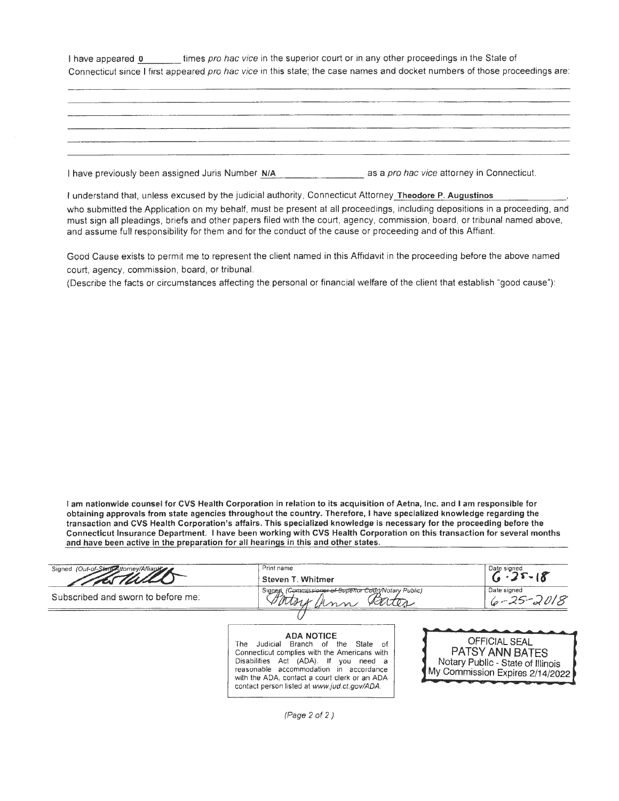I have appeared 0 imes pro hac vice in the superior court or in any other proceedings in the State of Connecticut since I first appeared pro hac vice in this state; the case names and docket numbers of those proceedings are:

|  | ___                                                                                                                                                                                                                                  |  |
|--|--------------------------------------------------------------------------------------------------------------------------------------------------------------------------------------------------------------------------------------|--|
|  |                                                                                                                                                                                                                                      |  |
|  |                                                                                                                                                                                                                                      |  |
|  |                                                                                                                                                                                                                                      |  |
|  |                                                                                                                                                                                                                                      |  |
|  |                                                                                                                                                                                                                                      |  |
|  |                                                                                                                                                                                                                                      |  |
|  |                                                                                                                                                                                                                                      |  |
|  |                                                                                                                                                                                                                                      |  |
|  |                                                                                                                                                                                                                                      |  |
|  |                                                                                                                                                                                                                                      |  |
|  |                                                                                                                                                                                                                                      |  |
|  |                                                                                                                                                                                                                                      |  |
|  |                                                                                                                                                                                                                                      |  |
|  |                                                                                                                                                                                                                                      |  |
|  | <u>and the contract of the contract of the contract of the contract of the contract of the contract of the contract of the contract of the contract of the contract of the contract of the contract of the contract of the contr</u> |  |
|  |                                                                                                                                                                                                                                      |  |
|  |                                                                                                                                                                                                                                      |  |
|  |                                                                                                                                                                                                                                      |  |
|  |                                                                                                                                                                                                                                      |  |
|  |                                                                                                                                                                                                                                      |  |
|  |                                                                                                                                                                                                                                      |  |
|  |                                                                                                                                                                                                                                      |  |
|  |                                                                                                                                                                                                                                      |  |
|  |                                                                                                                                                                                                                                      |  |
|  |                                                                                                                                                                                                                                      |  |
|  |                                                                                                                                                                                                                                      |  |
|  |                                                                                                                                                                                                                                      |  |
|  |                                                                                                                                                                                                                                      |  |
|  |                                                                                                                                                                                                                                      |  |
|  |                                                                                                                                                                                                                                      |  |
|  |                                                                                                                                                                                                                                      |  |

I have previously been assigned Juris Number N/A and a pro hac vice attorney in Connecticut.

I understand that, unless excused by the judicial authority, Connecticut Attorney Theodore **P.** Augustinos

who submitted the Application on my behalf, must be present at all proceedings , including depositions in a proceeding, and must sign all pleadings , briefs and other papers filed with the court, agency, commission , board, or tribunal named above, and assume full responsibility for them and for the conduct of the cause or proceeding and of this Affiant.

Good Cause exists to permit me to represent the client named in this Affidavit in the proceeding before the above named court, agency, commission, board, or tribunal.

(Describe the facts or circumstances affecting the personal or financial welfare of the client that establish "good cause") :

I **am nationwide counsel for CVS Health Corporation in relation to its acquisition of Aetna, Inc. and** I **am responsible for obtaining approvals from state agencies throughout the country. Therefore,** I **have specialized knowledge regarding the transaction and CVS Health Corporation's affairs. This specialized knowledge is necessary for the proceeding before the Connecticut Insurance Department.** I **have been working with CVS Health Corporation** on **this transaction for several months and have been active in the preparation for all hearings** in **this and other states.** 

| Signed (Out-of-State Attorney/Affiants | Print name                                              | Date signed<br>$25 - 18$       |
|----------------------------------------|---------------------------------------------------------|--------------------------------|
|                                        | Steven T. Whitmer                                       |                                |
| Subscribed and sworn to before me:     | Signed (Commissioner of Superior Court/Notary Public)   | Date signed<br>$6 - 25 - 2018$ |
|                                        |                                                         |                                |
|                                        | <b>ADA NOTICE</b>                                       |                                |
|                                        | Branch<br>The<br>the<br>Judicial<br>-of<br>State<br>-ot | <b>OFFICIAL SEAL</b>           |

Connecticut complies with the Americans with **PATSY ANN BATES**<br>Disabilities Act (ADA). If you need a **Notary Public** - State of Illin Disabilities Act (ADA). If you need **a Notary Public - State of Illinois**<br>reasonable accommodation in accordance **MV Commission Expires** 2/14/200 reasonable accommodation in accordance My Commission Expires 2/14/2022 with the ADA, contact a court clerk or an ADA contact person listed at www.jud.ct.gov/ADA.



(Page 2 of 2)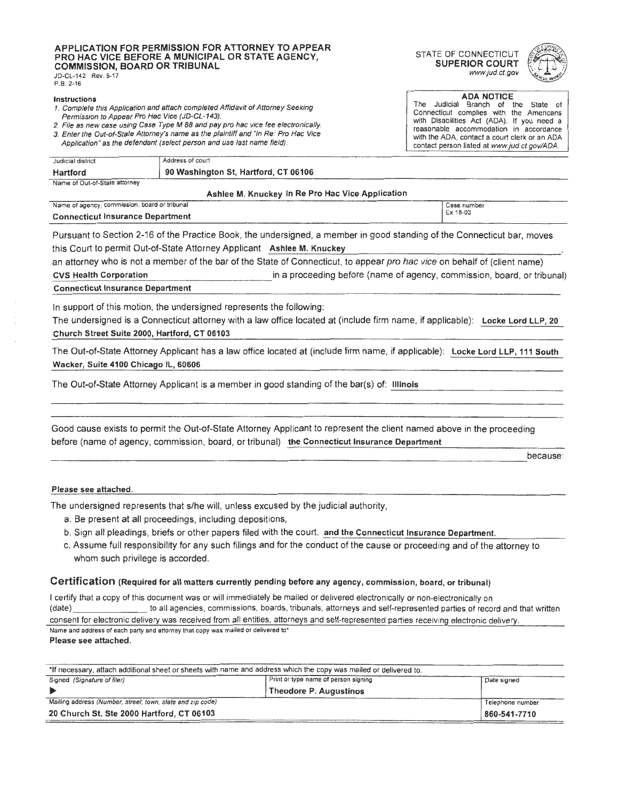#### APPLICATION FOR PERMISSION FOR ATTORNEY TO APPEAR **PRO HAC VICE BEFORE A MUNICIPAL OR STATE AGENCY,** STATE OF CONNECTICUT<br>PRO HAC VICE BEFORE A MUNICIPAL OR STATE AGENCY, SUPERIOR COURT **COMMISSION, BOARD OR TRIBUNAL SUPERIOR COURT** <br>
SUPERIOR COURT *www.jud.ct.gov* JD-CL-142 Rev. 5-17

P.B. 2-16

- 
- 
- 





**Instructions** ADA NOTICE **Instructions** ADA NOTICE **Instructions** ADA NOTICE **Instructions** Complete this Application and attach completed Affidavit of Attorney Seeking<br>
2. File as new case using Case Type M 88 and pay pro hac vice fee electronically.<br>
2. File as new case using Case Type M 88 and pay pro hac vice contact person listed at www.jud.ct.gov/ADA.

| Judicial district                                | Address of court                     |  |  |  |
|--------------------------------------------------|--------------------------------------|--|--|--|
| Hartford                                         | 90 Washington St, Hartford, CT 06106 |  |  |  |
| Name of Out-of-State attorney                    |                                      |  |  |  |
| Ashlee M. Knuckey In Re Pro Hac Vice Application |                                      |  |  |  |

Name of agency, commission, board or tribunal Case number of a case number of a case number of a case number **Connecticut Insurance Department** 

Pursuant to Section 2-16 of the Practice Book, the undersigned, a member in good standing of the Connecticut bar, moves this Court to permit Out-of-State Attorney Applicant **Ashiee M. Knuckey** 

an attorney who is not a member of the bar of the State of Connecticut, to appear pro hac vice on behalf of (client name)

**\_c\_v\_s\_ H\_ea\_l\_th\_ C\_o....:rp,\_\_o\_r\_a\_ti\_o\_n\_\_\_\_\_\_\_\_\_\_\_\_in** a proceeding before (name of agency, commission, board, or tribunal) **Connecticut Insurance Department** 

In support of this motion, the undersigned represents the following:

The undersigned is a Connecticut attorney with a law office located at (include firm name, if applicable): Locke Lord LLP, 20 Church Street Suite 2000, Hartford, CT 06103

The Out-of-State Attorney Applicant has a law office located at (include firm name, if applicable): **Locke Lord LLP, 111 South Wacker, Suite 4100 Chicago IL, 60606** 

The Out-of-State Attorney Applicant is a member in good standing of the bar(s) of: Illinois

----------------- ---------------------- -------- Good cause exists to permit the Out-of-State Attorney Applicant to represent the client named above in the proceeding before (name of agency, commission, board, or tribunal) **the Connecticut Insurance Department** 

because:

### **Please see attached.**

The undersigned represents that s/he will, unless excused by the judicial authority,

- a. Be present at all proceedings, including depositions,
- b. Sign all pleadings, briefs or other papers filed with the court. **and the Connecticut Insurance Department.**
- c. Assume full responsibility for any such filings and for the conduct of the cause or proceeding and of the attorney to whom such privilege is accorded.

### **Certification (Required for all matters currently pending before any agency, commission, board, or tribunal)**

I certify that a copy of this document was or will immediately be mailed or delivered electronically or non-electronically on (date) to all agencies, commissions, boards, tribunals, attorneys and self-represented parties of record and that written consent for electronic delivery was received from all entities, attorneys and self-represented parties receiving electronic delivery. Name and address of each party and attorney that copy was mailed or delivered to\*

**Please see attached.** 

| *If necessary, attach additional sheet or sheets with name and address which the copy was mailed or delivered to. |                                      |                  |  |
|-------------------------------------------------------------------------------------------------------------------|--------------------------------------|------------------|--|
| Signed (Signature of filer)                                                                                       | Print or type name of person signing | Date signed      |  |
|                                                                                                                   | Theodore P. Augustinos               |                  |  |
| Mailing address (Number, street, town, state and zip code)                                                        |                                      | Telephone number |  |
| 20 Church St. Ste 2000 Hartford, CT 06103                                                                         |                                      | 860-541-7710     |  |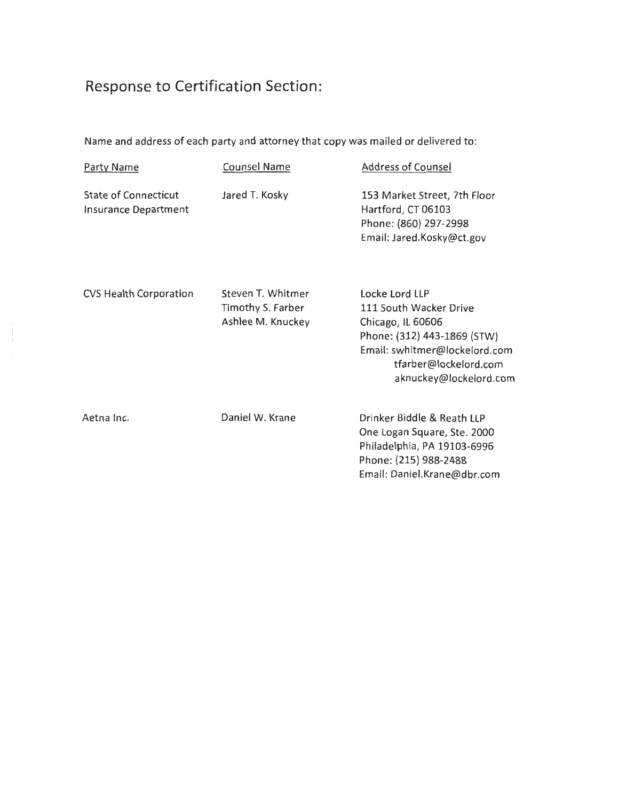## **Response to Certification Section:**

 $\frac{1}{2}$ 

Name and address of each party and attorney that copy was mailed or delivered to:

| Party Name                                          | <b>Counsel Name</b>                                         | <b>Address of Counsel</b>                                                                                                                                                        |
|-----------------------------------------------------|-------------------------------------------------------------|----------------------------------------------------------------------------------------------------------------------------------------------------------------------------------|
| State of Connecticut<br><b>Insurance Department</b> | Jared T. Kosky                                              | 153 Market Street, 7th Floor<br>Hartford, CT 06103<br>Phone: (860) 297-2998<br>Email: Jared.Kosky@ct.gov                                                                         |
| <b>CVS Health Corporation</b>                       | Steven T. Whitmer<br>Timothy S. Farber<br>Ashlee M. Knuckey | Locke Lord LLP<br>111 South Wacker Drive<br>Chicago, IL 60606<br>Phone: (312) 443-1869 (STW)<br>Email: swhitmer@lockelord.com<br>tfarber@lockelord.com<br>aknuckey@lockelord.com |
| Aetna Inc.                                          | Daniel W. Krane                                             | Drinker Biddle & Reath LLP<br>One Logan Square, Ste. 2000<br>Philadelphia, PA 19103-6996<br>Phone: (215) 988-2488<br>Email: Daniel.Krane@dbr.com                                 |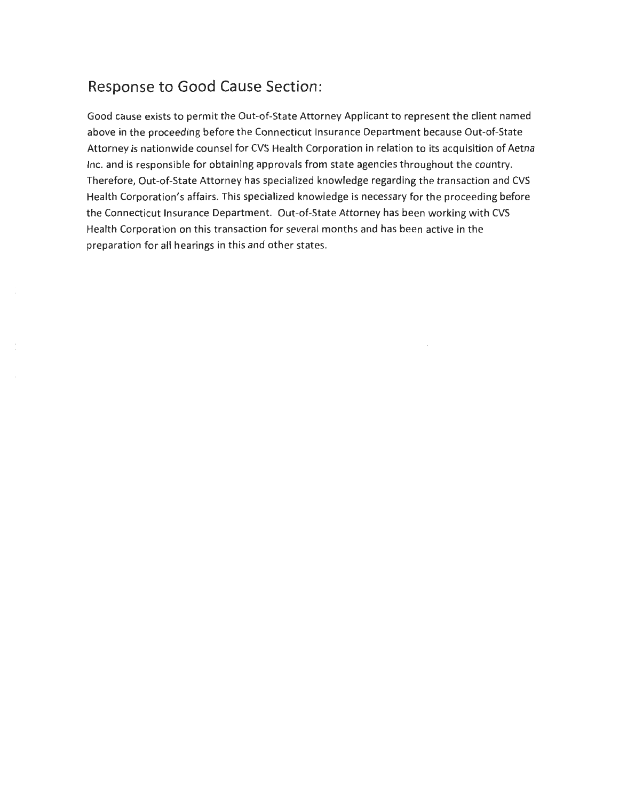### **Response to Good Cause Section:**

Good cause exists to permit the Out-of-State Attorney Applicant to represent the client named above in the proceeding before the Connecticut Insurance Department because Out-of-State Attorney is nationwide counsel for CVS Health Corporation in relation to its acquisition of Aetna Inc. and is responsible for obtaining approvals from state agencies throughout the country. Therefore, Out-of-State Attorney has specialized knowledge regarding the transaction and CVS Health Corporation's affairs. This specialized knowledge is necessary for the proceeding before the Connecticut Insurance Department. Out-of-State Attorney has been working with CVS Health Corporation on this transaction for several months and has been active in the preparation for all hearings in this and other states.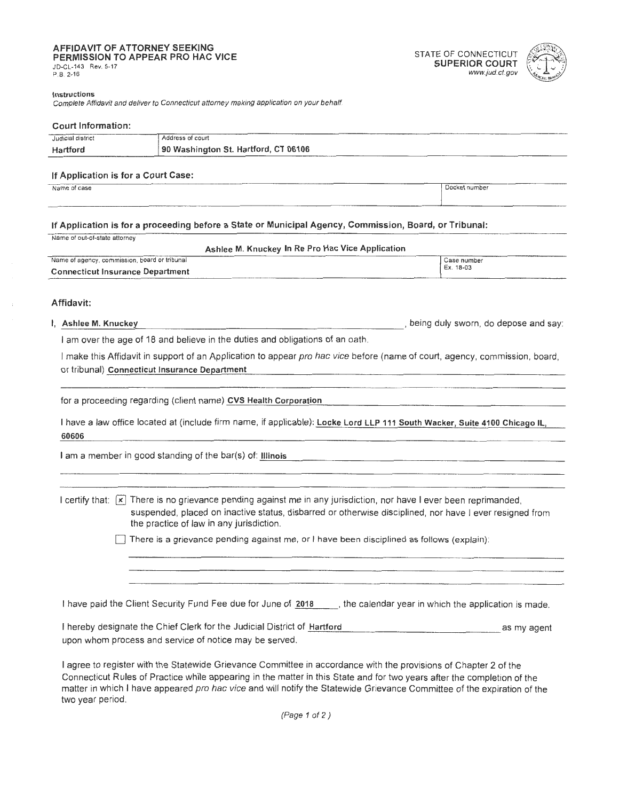# **iii)**<br>**PERMISSION TO APPEAR PRO HAC VICE STATE OF CONNECTICUT**<br> **SUPERIOR COURT**<br>
P.B. 2-16 *www.jud.ct.gov*

two year period.

# P.B. 2-16 www.jud.ct.gov



### **Instructions**

Complete Affidavit and deliver to Connecticut attorney making application on your behalf.

## **Court Information:**  Judicial district Address of court **Hartford 90 Washington St. Hartford, CT 06106 If Application is for a Court Case:**  n Application is for a Court Case.<br>Name of case **IDocket number If Application is for a proceeding before a State or Municipal Agency, Commission, Board, or Tribunal:**  Name of out-of-state attorney **Ashlee M. Knuckey In Re Pro Hae Vice Application**  Name of agency, commission, board or tribunal Case number of the case in the case in the case number of Ex. 18-03 **Connecticut Insurance Department Affidavit:**  I, **Ashlee M. Knuckey** , being duly sworn, do depose and say: I am over the age of 18 and believe in the duties and obligations of an oath. I make this Affidavit in support of an Application to appear pro hac vice before (name of court, agency, commission, board, or tribunal) **Connecticut Insurance Department**  for a proceeding regarding (client name) CVS Health Corporation I have a law office located at (include firm name, if applicable): **Locke Lord LLP 111 South Wacker, Suite 4100 Chicago IL, 60606**  I am a member in good standing of the bar(s) of: Illinois I certify that:  $\vec{x}$  There is no grievance pending against me in any jurisdiction, nor have I ever been reprimanded, suspended, placed on inactive status, disbarred or otherwise disciplined, nor have I ever resigned from the practice of law in any jurisdiction. D There is a grievance pending against me, or I have been disciplined as follows (explain): I have paid the Client Security Fund Fee due for June of 2018 . the calendar year in which the application is made. I hereby designate the Chief Clerk for the Judicial District of Hartford **Example 2008** as my agent upon whom process and service of notice may be served. I agree to register with the Statewide Grievance Committee in accordance with the provisions of Chapter 2 of the Connecticut Rules of Practice while appearing in the matter in this State and for two years after the completion of the matter in which I have appeared pro hac vice and will notify the Statewide Grievance Committee of the expiration of the

(Page 1 of 2)